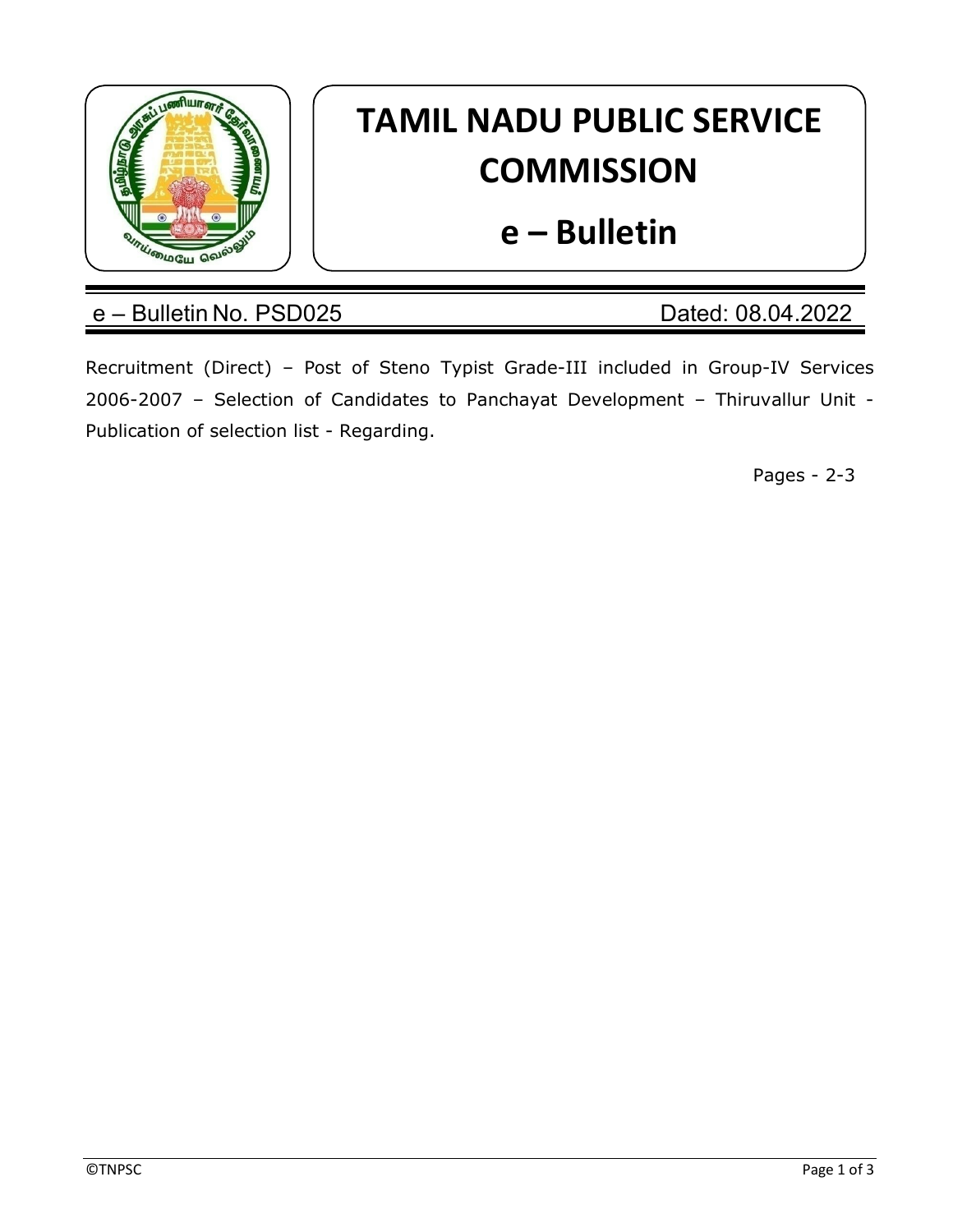

# TAMIL NADU PUBLIC SERVICE **COMMISSION**

## e – Bulletin

## e – Bulletin No. PSD025 Dated: 08.04.2022

Recruitment (Direct) – Post of Steno Typist Grade-III included in Group-IV Services 2006-2007 – Selection of Candidates to Panchayat Development – Thiruvallur Unit - Publication of selection list - Regarding.

Pages - 2-3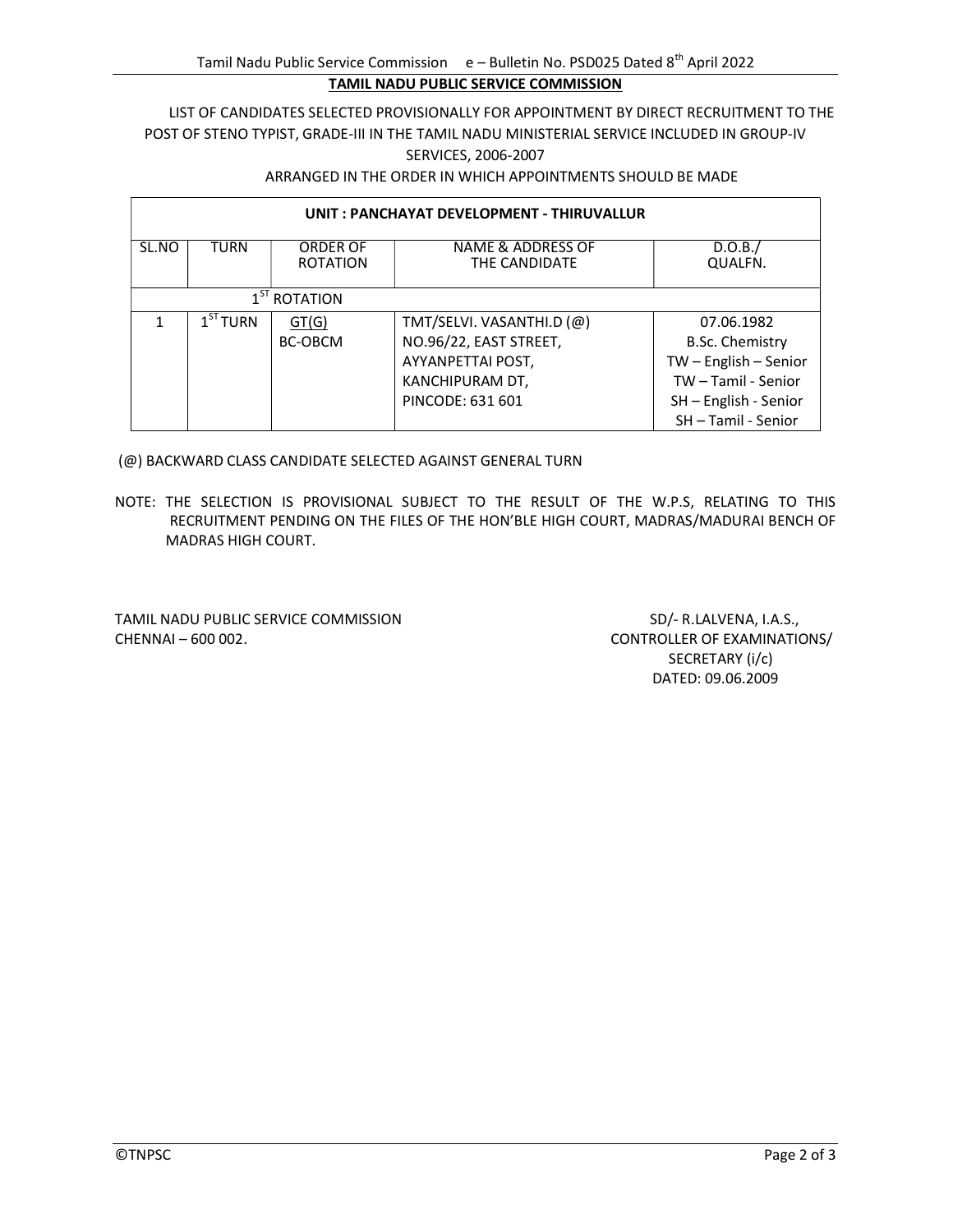## LIST OF CANDIDATES SELECTED PROVISIONALLY FOR APPOINTMENT BY DIRECT RECRUITMENT TO THE POST OF STENO TYPIST, GRADE-III IN THE TAMIL NADU MINISTERIAL SERVICE INCLUDED IN GROUP-IV SERVICES, 2006-2007

### ARRANGED IN THE ORDER IN WHICH APPOINTMENTS SHOULD BE MADE

| UNIT: PANCHAYAT DEVELOPMENT - THIRUVALLUR |                      |                             |                                       |                         |  |  |
|-------------------------------------------|----------------------|-----------------------------|---------------------------------------|-------------------------|--|--|
| SL.NO                                     | <b>TURN</b>          | ORDER OF<br><b>ROTATION</b> | NAME & ADDRESS OF<br>THE CANDIDATE    | D.O.B./<br>QUALFN.      |  |  |
| 1 <sup>51</sup> ROTATION                  |                      |                             |                                       |                         |  |  |
|                                           | 1 <sup>ST</sup> TURN | GT(G)                       | TMT/SELVI. VASANTHI.D $(\varnothing)$ | 07.06.1982              |  |  |
|                                           |                      | <b>BC-OBCM</b>              | NO.96/22, EAST STREET,                | <b>B.Sc. Chemistry</b>  |  |  |
|                                           |                      |                             | AYYANPETTAI POST,                     | $TW - English - Senior$ |  |  |
|                                           |                      |                             | KANCHIPURAM DT,                       | TW-Tamil - Senior       |  |  |
|                                           |                      |                             | PINCODE: 631 601                      | SH - English - Senior   |  |  |
|                                           |                      |                             |                                       | SH-Tamil - Senior       |  |  |

(@) BACKWARD CLASS CANDIDATE SELECTED AGAINST GENERAL TURN

NOTE: THE SELECTION IS PROVISIONAL SUBJECT TO THE RESULT OF THE W.P.S, RELATING TO THIS RECRUITMENT PENDING ON THE FILES OF THE HON'BLE HIGH COURT, MADRAS/MADURAI BENCH OF MADRAS HIGH COURT.

TAMIL NADU PUBLIC SERVICE COMMISSION SD/- R.LALVENA, I.A.S., CHENNAI – 600 002. CONTROLLER OF EXAMINATIONS/

 SECRETARY (i/c) DATED: 09.06.2009